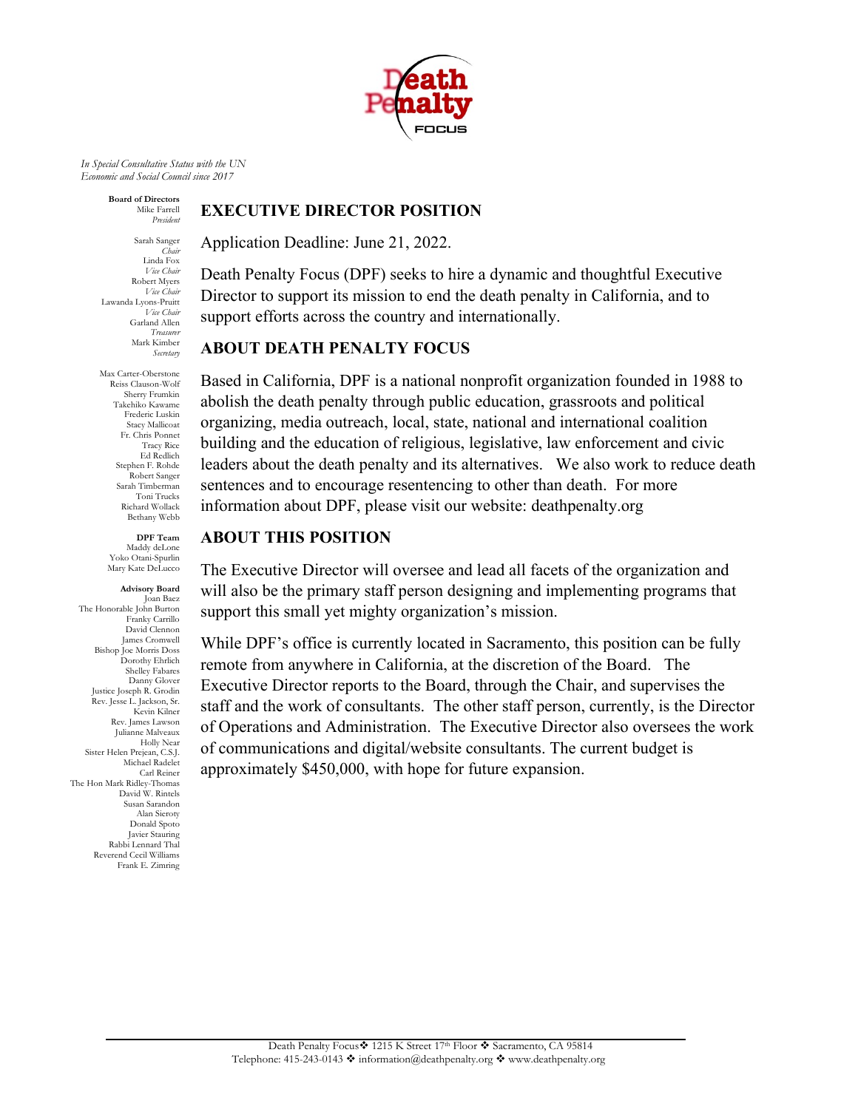

*In Special Consultative Status with the UN Economic and Social Council since 2017*

> **Board of Directors** Mike Farrell *President*

Sarah Sanger *Chair* Linda Fox *Vice Chair*  Robert Myers *Vice Chair*  Lawanda Lyons-Pruitt *Vice Chair*  Garland Allen *Treasurer* Mark Kimber *Secretary*

Max Carter-Oberstone Reiss Clauson-Wolf Sherry Frumkin Takehiko Kawame Frederic Luskin Stacy Mallicoat Fr. Chris Ponnet Tracy Rice Ed Redlich Stephen F. Rohde Robert Sanger Sarah Timberman Toni Trucks Richard Wollack Bethany Webb

**DPF Team** Maddy deLone Yoko Otani-Spurlin Mary Kate DeLucco

**Advisory Board** Joan Baez The Honorable John Burton Franky Carrillo David Clennon James Cromwell Bishop Joe Morris Doss Dorothy Ehrlich Shelley Fabares Danny Glover Justice Joseph R. Grodin Rev. Jesse L. Jackson, Sr. Kevin Kilner Rev. James Lawson [Julianne Malveaux](http://en.wikipedia.org/wiki/Julianne_Malveaux)  Holly Near Sister Helen Prejean, C.S.J. Michael Radelet Carl Reiner The Hon Mark Ridley-Thomas David W. Rintels Susan Sarandon Alan Sieroty Donald Spoto Javier Stauring Rabbi Lennard Thal Reverend Cecil Williams Frank E. Zimring

#### **EXECUTIVE DIRECTOR POSITION**

Application Deadline: June 21, 2022.

Death Penalty Focus (DPF) seeks to hire a dynamic and thoughtful Executive Director to support its mission to end the death penalty in California, and to support efforts across the country and internationally.

## **ABOUT DEATH PENALTY FOCUS**

Based in California, DPF is a national nonprofit organization founded in 1988 to abolish the death penalty through public education, grassroots and political organizing, media outreach, local, state, national and international coalition building and the education of religious, legislative, law enforcement and civic leaders about the death penalty and its alternatives. We also work to reduce death sentences and to encourage resentencing to other than death. For more information about DPF, please visit our website: deathpenalty.org

#### **ABOUT THIS POSITION**

The Executive Director will oversee and lead all facets of the organization and will also be the primary staff person designing and implementing programs that support this small yet mighty organization's mission.

While DPF's office is currently located in Sacramento, this position can be fully remote from anywhere in California, at the discretion of the Board. The Executive Director reports to the Board, through the Chair, and supervises the staff and the work of consultants. The other staff person, currently, is the Director of Operations and Administration. The Executive Director also oversees the work of communications and digital/website consultants. The current budget is approximately \$450,000, with hope for future expansion.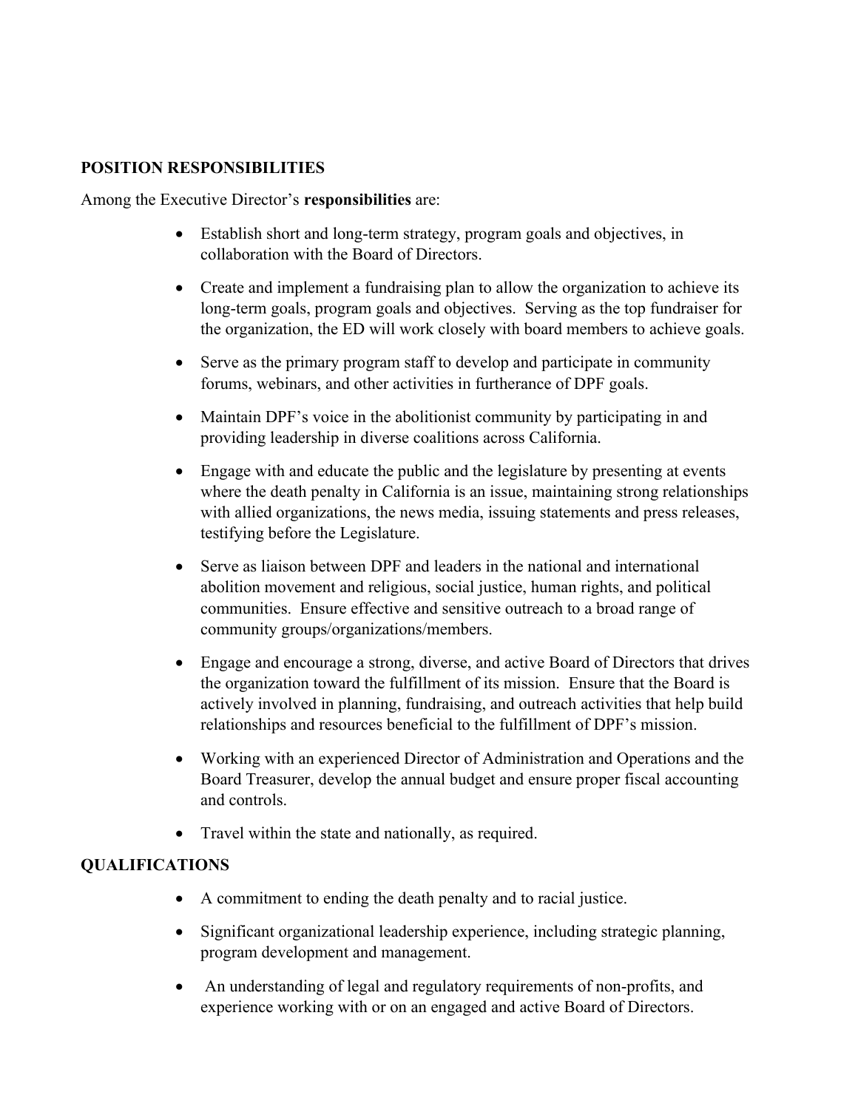### **POSITION RESPONSIBILITIES**

Among the Executive Director's **responsibilities** are:

- Establish short and long-term strategy, program goals and objectives, in collaboration with the Board of Directors.
- Create and implement a fundraising plan to allow the organization to achieve its long-term goals, program goals and objectives. Serving as the top fundraiser for the organization, the ED will work closely with board members to achieve goals.
- Serve as the primary program staff to develop and participate in community forums, webinars, and other activities in furtherance of DPF goals.
- Maintain DPF's voice in the abolitionist community by participating in and providing leadership in diverse coalitions across California.
- Engage with and educate the public and the legislature by presenting at events where the death penalty in California is an issue, maintaining strong relationships with allied organizations, the news media, issuing statements and press releases, testifying before the Legislature.
- Serve as liaison between DPF and leaders in the national and international abolition movement and religious, social justice, human rights, and political communities. Ensure effective and sensitive outreach to a broad range of community groups/organizations/members.
- Engage and encourage a strong, diverse, and active Board of Directors that drives the organization toward the fulfillment of its mission. Ensure that the Board is actively involved in planning, fundraising, and outreach activities that help build relationships and resources beneficial to the fulfillment of DPF's mission.
- Working with an experienced Director of Administration and Operations and the Board Treasurer, develop the annual budget and ensure proper fiscal accounting and controls.
- Travel within the state and nationally, as required.

#### **QUALIFICATIONS**

- A commitment to ending the death penalty and to racial justice.
- Significant organizational leadership experience, including strategic planning, program development and management.
- An understanding of legal and regulatory requirements of non-profits, and experience working with or on an engaged and active Board of Directors.